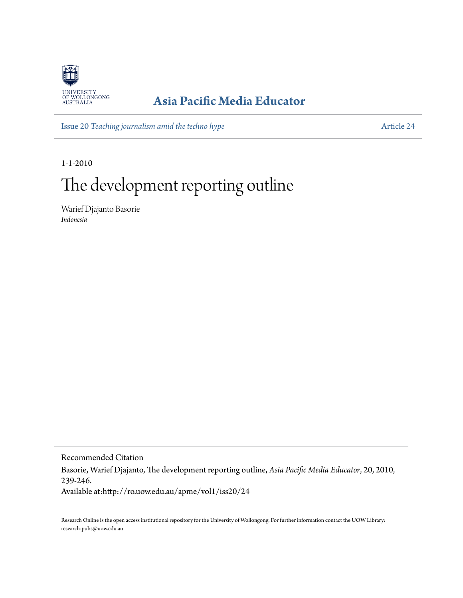

# **[Asia Pacific Media Educator](http://ro.uow.edu.au/apme)**

Issue 20 *[Teaching journalism amid the techno hype](http://ro.uow.edu.au/apme/vol1/iss20)* [Article 24](http://ro.uow.edu.au/apme/vol1/iss20/24)

1-1-2010

# The development reporting outline

Warief Djajanto Basorie *Indonesia*

Recommended Citation Basorie, Warief Djajanto, The development reporting outline, *Asia Pacific Media Educator*, 20, 2010, 239-246. Available at:http://ro.uow.edu.au/apme/vol1/iss20/24

Research Online is the open access institutional repository for the University of Wollongong. For further information contact the UOW Library: research-pubs@uow.edu.au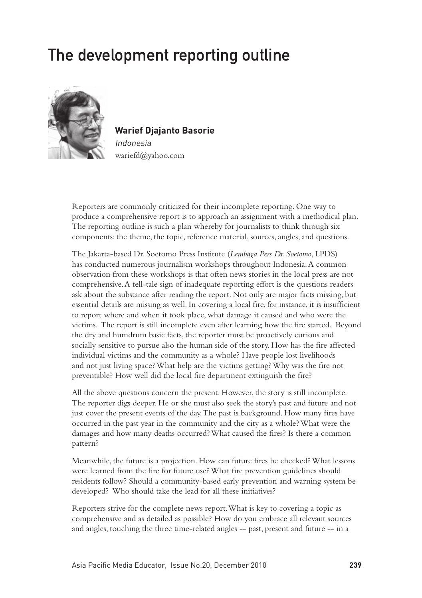# The development reporting outline



**Warief Djajanto Basorie** Indonesia

wariefd@yahoo.com

Reporters are commonly criticized for their incomplete reporting. One way to produce a comprehensive report is to approach an assignment with a methodical plan. The reporting outline is such a plan whereby for journalists to think through six components: the theme, the topic, reference material, sources, angles, and questions.

The Jakarta-based Dr. Soetomo Press Institute (*Lembaga Pers Dr. Soetomo*, LPDS) has conducted numerous journalism workshops throughout Indonesia. A common observation from these workshops is that often news stories in the local press are not comprehensive. A tell-tale sign of inadequate reporting effort is the questions readers ask about the substance after reading the report. Not only are major facts missing, but essential details are missing as well. In covering a local fire, for instance, it is insufficient to report where and when it took place, what damage it caused and who were the victims. The report is still incomplete even after learning how the fire started. Beyond the dry and humdrum basic facts, the reporter must be proactively curious and socially sensitive to pursue also the human side of the story. How has the fire affected individual victims and the community as a whole? Have people lost livelihoods and not just living space? What help are the victims getting? Why was the fire not preventable? How well did the local fire department extinguish the fire?

All the above questions concern the present. However, the story is still incomplete. The reporter digs deeper. He or she must also seek the story's past and future and not just cover the present events of the day. The past is background. How many fires have occurred in the past year in the community and the city as a whole? What were the damages and how many deaths occurred? What caused the fires? Is there a common pattern?

Meanwhile, the future is a projection. How can future fires be checked? What lessons were learned from the fire for future use? What fire prevention guidelines should residents follow? Should a community-based early prevention and warning system be developed? Who should take the lead for all these initiatives?

Reporters strive for the complete news report. What is key to covering a topic as comprehensive and as detailed as possible? How do you embrace all relevant sources and angles, touching the three time-related angles -- past, present and future -- in a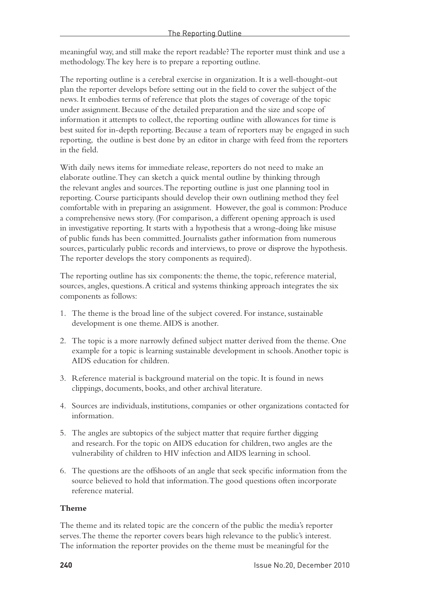meaningful way, and still make the report readable? The reporter must think and use a methodology. The key here is to prepare a reporting outline.

The reporting outline is a cerebral exercise in organization. It is a well-thought-out plan the reporter develops before setting out in the field to cover the subject of the news. It embodies terms of reference that plots the stages of coverage of the topic under assignment. Because of the detailed preparation and the size and scope of information it attempts to collect, the reporting outline with allowances for time is best suited for in-depth reporting. Because a team of reporters may be engaged in such reporting, the outline is best done by an editor in charge with feed from the reporters in the field.

With daily news items for immediate release, reporters do not need to make an elaborate outline. They can sketch a quick mental outline by thinking through the relevant angles and sources. The reporting outline is just one planning tool in reporting. Course participants should develop their own outlining method they feel comfortable with in preparing an assignment. However, the goal is common: Produce a comprehensive news story. (For comparison, a different opening approach is used in investigative reporting. It starts with a hypothesis that a wrong-doing like misuse of public funds has been committed. Journalists gather information from numerous sources, particularly public records and interviews, to prove or disprove the hypothesis. The reporter develops the story components as required).

The reporting outline has six components: the theme, the topic, reference material, sources, angles, questions. A critical and systems thinking approach integrates the six components as follows:

- 1. The theme is the broad line of the subject covered. For instance, sustainable development is one theme. AIDS is another.
- 2. The topic is a more narrowly defined subject matter derived from the theme. One example for a topic is learning sustainable development in schools. Another topic is AIDS education for children.
- 3. Reference material is background material on the topic. It is found in news clippings, documents, books, and other archival literature.
- 4. Sources are individuals, institutions, companies or other organizations contacted for information.
- 5. The angles are subtopics of the subject matter that require further digging and research. For the topic on AIDS education for children, two angles are the vulnerability of children to HIV infection and AIDS learning in school.
- 6. The questions are the offshoots of an angle that seek specific information from the source believed to hold that information. The good questions often incorporate reference material.

#### **Theme**

The theme and its related topic are the concern of the public the media's reporter serves. The theme the reporter covers bears high relevance to the public's interest. The information the reporter provides on the theme must be meaningful for the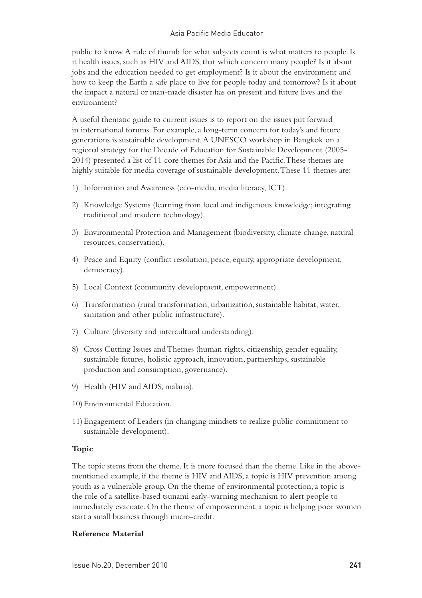public to know. A rule of thumb for what subjects count is what matters to people. Is it health issues, such as HIV and AIDS, that which concern many people? Is it about jobs and the education needed to get employment? Is it about the environment and how to keep the Earth a safe place to live for people today and tomorrow? Is it about the impact a natural or man-made disaster has on present and future lives and the environment?

A useful thematic guide to current issues is to report on the issues put forward in international forums. For example, a long-term concern for today's and future generations is sustainable development. A UNESCO workshop in Bangkok on a regional strategy for the Decade of Education for Sustainable Development (2005- 2014) presented a list of 11 core themes for Asia and the Pacific. These themes are highly suitable for media coverage of sustainable development. These 11 themes are:

- 1) Information and Awareness (eco-media, media literacy, ICT).
- 2) Knowledge Systems (learning from local and indigenous knowledge; integrating traditional and modern technology).
- 3) Environmental Protection and Management (biodiversity, climate change, natural resources, conservation).
- 4) Peace and Equity (conflict resolution, peace, equity, appropriate development, democracy).
- 5) Local Context (community development, empowerment).
- 6) Transformation (rural transformation, urbanization, sustainable habitat, water, sanitation and other public infrastructure).
- 7) Culture (diversity and intercultural understanding).
- 8) Cross Cutting Issues and Themes (human rights, citizenship, gender equality, sustainable futures, holistic approach, innovation, partnerships, sustainable production and consumption, governance).
- 9) Health (HIV and AIDS, malaria).
- 10)Environmental Education.
- 11)Engagement of Leaders (in changing mindsets to realize public commitment to sustainable development).

#### **Topic**

The topic stems from the theme. It is more focused than the theme. Like in the abovementioned example, if the theme is HIV and AIDS, a topic is HIV prevention among youth as a vulnerable group. On the theme of environmental protection, a topic is the role of a satellite-based tsunami early-warning mechanism to alert people to immediately evacuate. On the theme of empowerment, a topic is helping poor women start a small business through micro-credit.

#### **Reference Material**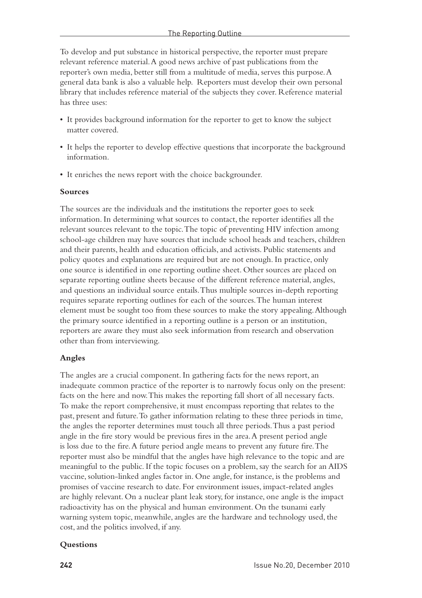To develop and put substance in historical perspective, the reporter must prepare relevant reference material. A good news archive of past publications from the reporter's own media, better still from a multitude of media, serves this purpose. A general data bank is also a valuable help. Reporters must develop their own personal library that includes reference material of the subjects they cover. Reference material has three uses:

- • It provides background information for the reporter to get to know the subject matter covered.
- It helps the reporter to develop effective questions that incorporate the background information.
- It enriches the news report with the choice backgrounder.

#### **Sources**

The sources are the individuals and the institutions the reporter goes to seek information. In determining what sources to contact, the reporter identifies all the relevant sources relevant to the topic. The topic of preventing HIV infection among school-age children may have sources that include school heads and teachers, children and their parents, health and education officials, and activists. Public statements and policy quotes and explanations are required but are not enough. In practice, only one source is identified in one reporting outline sheet. Other sources are placed on separate reporting outline sheets because of the different reference material, angles, and questions an individual source entails. Thus multiple sources in-depth reporting requires separate reporting outlines for each of the sources. The human interest element must be sought too from these sources to make the story appealing. Although the primary source identified in a reporting outline is a person or an institution, reporters are aware they must also seek information from research and observation other than from interviewing.

#### **Angles**

The angles are a crucial component. In gathering facts for the news report, an inadequate common practice of the reporter is to narrowly focus only on the present: facts on the here and now. This makes the reporting fall short of all necessary facts. To make the report comprehensive, it must encompass reporting that relates to the past, present and future. To gather information relating to these three periods in time, the angles the reporter determines must touch all three periods. Thus a past period angle in the fire story would be previous fires in the area. A present period angle is loss due to the fire. A future period angle means to prevent any future fire. The reporter must also be mindful that the angles have high relevance to the topic and are meaningful to the public. If the topic focuses on a problem, say the search for an AIDS vaccine, solution-linked angles factor in. One angle, for instance, is the problems and promises of vaccine research to date. For environment issues, impact-related angles are highly relevant. On a nuclear plant leak story, for instance, one angle is the impact radioactivity has on the physical and human environment. On the tsunami early warning system topic, meanwhile, angles are the hardware and technology used, the cost, and the politics involved, if any.

#### **Questions**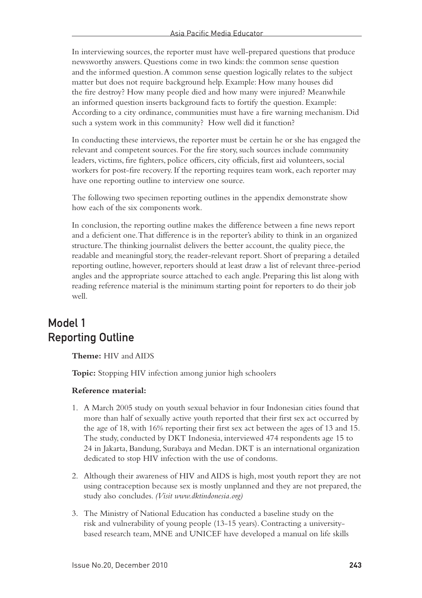In interviewing sources, the reporter must have well-prepared questions that produce newsworthy answers. Questions come in two kinds: the common sense question and the informed question. A common sense question logically relates to the subject matter but does not require background help. Example: How many houses did the fire destroy? How many people died and how many were injured? Meanwhile an informed question inserts background facts to fortify the question. Example: According to a city ordinance, communities must have a fire warning mechanism. Did such a system work in this community? How well did it function?

In conducting these interviews, the reporter must be certain he or she has engaged the relevant and competent sources. For the fire story, such sources include community leaders, victims, fire fighters, police officers, city officials, first aid volunteers, social workers for post-fire recovery. If the reporting requires team work, each reporter may have one reporting outline to interview one source.

The following two specimen reporting outlines in the appendix demonstrate show how each of the six components work.

In conclusion, the reporting outline makes the difference between a fine news report and a deficient one. That difference is in the reporter's ability to think in an organized structure. The thinking journalist delivers the better account, the quality piece, the readable and meaningful story, the reader-relevant report. Short of preparing a detailed reporting outline, however, reporters should at least draw a list of relevant three-period angles and the appropriate source attached to each angle. Preparing this list along with reading reference material is the minimum starting point for reporters to do their job well.

### Model 1 Reporting Outline

**Theme:** HIV and AIDS

**Topic:** Stopping HIV infection among junior high schoolers

#### **Reference material:**

- 1. A March 2005 study on youth sexual behavior in four Indonesian cities found that more than half of sexually active youth reported that their first sex act occurred by the age of 18, with 16% reporting their first sex act between the ages of 13 and 15. The study, conducted by DKT Indonesia, interviewed 474 respondents age 15 to 24 in Jakarta, Bandung, Surabaya and Medan. DKT is an international organization dedicated to stop HIV infection with the use of condoms.
- 2. Although their awareness of HIV and AIDS is high, most youth report they are not using contraception because sex is mostly unplanned and they are not prepared, the study also concludes. *(Visit www.dktindonesia.org)*
- 3. The Ministry of National Education has conducted a baseline study on the risk and vulnerability of young people (13-15 years). Contracting a universitybased research team, MNE and UNICEF have developed a manual on life skills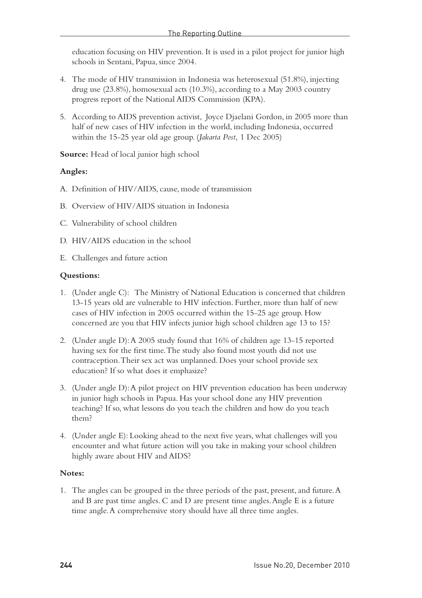education focusing on HIV prevention. It is used in a pilot project for junior high schools in Sentani, Papua, since 2004.

- 4. The mode of HIV transmission in Indonesia was heterosexual (51.8%), injecting drug use (23.8%), homosexual acts (10.3%), according to a May 2003 country progress report of the National AIDS Commission (KPA).
- 5. According to AIDS prevention activist, Joyce Djaelani Gordon, in 2005 more than half of new cases of HIV infection in the world, including Indonesia, occurred within the 15-25 year old age group. (*Jakarta Post,* 1 Dec 2005)

**Source:** Head of local junior high school

#### **Angles:**

- A. Definition of HIV/AIDS, cause, mode of transmission
- B. Overview of HIV/AIDS situation in Indonesia
- C. Vulnerability of school children
- D. HIV/AIDS education in the school
- E. Challenges and future action

#### **Questions:**

- 1. (Under angle C): The Ministry of National Education is concerned that children 13-15 years old are vulnerable to HIV infection. Further, more than half of new cases of HIV infection in 2005 occurred within the 15-25 age group. How concerned are you that HIV infects junior high school children age 13 to 15?
- 2. (Under angle D): A 2005 study found that 16% of children age 13-15 reported having sex for the first time. The study also found most youth did not use contraception. Their sex act was unplanned. Does your school provide sex education? If so what does it emphasize?
- 3. (Under angle D): A pilot project on HIV prevention education has been underway in junior high schools in Papua. Has your school done any HIV prevention teaching? If so, what lessons do you teach the children and how do you teach them?
- 4. (Under angle E): Looking ahead to the next five years, what challenges will you encounter and what future action will you take in making your school children highly aware about HIV and AIDS?

#### **Notes:**

1. The angles can be grouped in the three periods of the past, present, and future. A and B are past time angles. C and D are present time angles. Angle E is a future time angle. A comprehensive story should have all three time angles.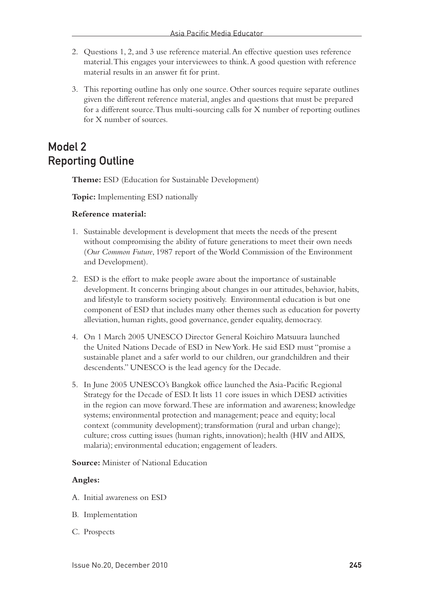- 2. Questions 1, 2, and 3 use reference material. An effective question uses reference material. This engages your interviewees to think. A good question with reference material results in an answer fit for print.
- 3. This reporting outline has only one source. Other sources require separate outlines given the different reference material, angles and questions that must be prepared for a different source. Thus multi-sourcing calls for X number of reporting outlines for X number of sources.

## Model 2 Reporting Outline

**Theme:** ESD (Education for Sustainable Development)

**Topic:** Implementing ESD nationally

#### **Reference material:**

- 1. Sustainable development is development that meets the needs of the present without compromising the ability of future generations to meet their own needs (*Our Common Future*, 1987 report of the World Commission of the Environment and Development).
- 2. ESD is the effort to make people aware about the importance of sustainable development. It concerns bringing about changes in our attitudes, behavior, habits, and lifestyle to transform society positively. Environmental education is but one component of ESD that includes many other themes such as education for poverty alleviation, human rights, good governance, gender equality, democracy.
- 4. On 1 March 2005 UNESCO Director General Koichiro Matsuura launched the United Nations Decade of ESD in New York. He said ESD must "promise a sustainable planet and a safer world to our children, our grandchildren and their descendents." UNESCO is the lead agency for the Decade.
- 5. In June 2005 UNESCO's Bangkok office launched the Asia-Pacific Regional Strategy for the Decade of ESD. It lists 11 core issues in which DESD activities in the region can move forward. These are information and awareness; knowledge systems; environmental protection and management; peace and equity; local context (community development); transformation (rural and urban change); culture; cross cutting issues (human rights, innovation); health (HIV and AIDS, malaria); environmental education; engagement of leaders.

**Source:** Minister of National Education

#### **Angles:**

- A. Initial awareness on ESD
- B. Implementation
- C. Prospects